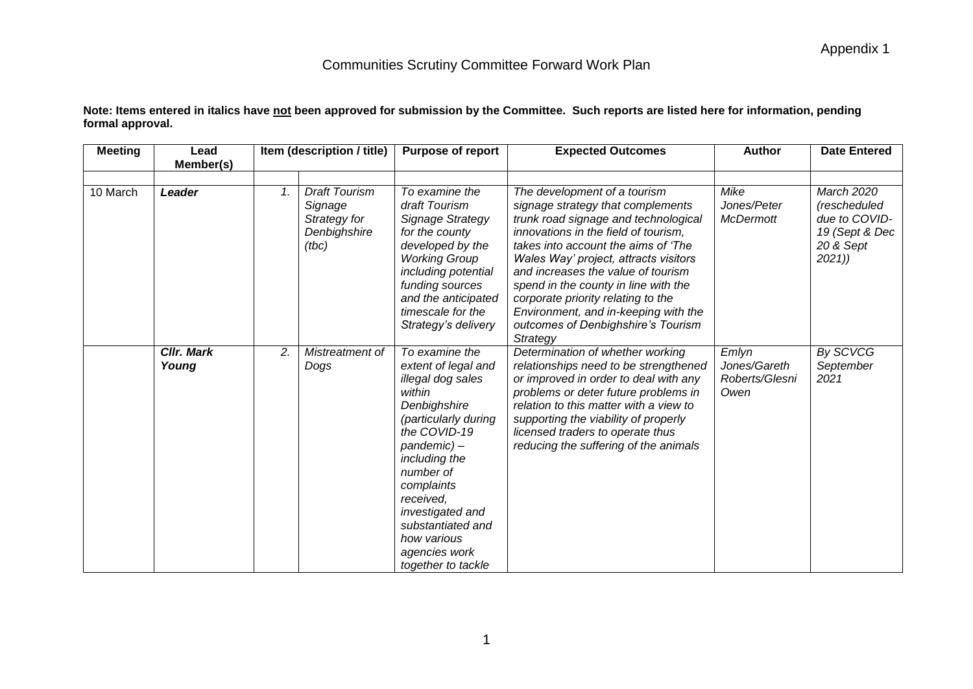| Note: Items entered in italics have <u>not</u> been approved for submission by the Committee.  Such reports are listed here for information, pending |  |
|------------------------------------------------------------------------------------------------------------------------------------------------------|--|
| formal approval.                                                                                                                                     |  |

| <b>Meeting</b> | Lead<br>Member(s)          |    | Item (description / title)                                               | <b>Purpose of report</b>                                                                                                                                                                                                                                                                           | <b>Expected Outcomes</b>                                                                                                                                                                                                                                                                                                                                                                                                                        | <b>Author</b>                                   | <b>Date Entered</b>                                                                 |
|----------------|----------------------------|----|--------------------------------------------------------------------------|----------------------------------------------------------------------------------------------------------------------------------------------------------------------------------------------------------------------------------------------------------------------------------------------------|-------------------------------------------------------------------------------------------------------------------------------------------------------------------------------------------------------------------------------------------------------------------------------------------------------------------------------------------------------------------------------------------------------------------------------------------------|-------------------------------------------------|-------------------------------------------------------------------------------------|
| 10 March       | Leader                     | 1. | <b>Draft Tourism</b><br>Signage<br>Strategy for<br>Denbighshire<br>(tbc) | To examine the<br>draft Tourism<br>Signage Strategy<br>for the county<br>developed by the<br><b>Working Group</b><br>including potential<br>funding sources<br>and the anticipated<br>timescale for the<br>Strategy's delivery                                                                     | The development of a tourism<br>signage strategy that complements<br>trunk road signage and technological<br>innovations in the field of tourism.<br>takes into account the aims of 'The<br>Wales Way' project, attracts visitors<br>and increases the value of tourism<br>spend in the county in line with the<br>corporate priority relating to the<br>Environment, and in-keeping with the<br>outcomes of Denbighshire's Tourism<br>Strategy | Mike<br>Jones/Peter<br><b>McDermott</b>         | March 2020<br>(rescheduled<br>due to COVID-<br>19 (Sept & Dec<br>20 & Sept<br>2021) |
|                | <b>CIIr. Mark</b><br>Young | 2. | Mistreatment of<br>Dogs                                                  | To examine the<br>extent of legal and<br>illegal dog sales<br>within<br>Denbighshire<br>(particularly during<br>the COVID-19<br>pandemic)-<br>including the<br>number of<br>complaints<br>received,<br>investigated and<br>substantiated and<br>how various<br>agencies work<br>together to tackle | Determination of whether working<br>relationships need to be strengthened<br>or improved in order to deal with any<br>problems or deter future problems in<br>relation to this matter with a view to<br>supporting the viability of properly<br>licensed traders to operate thus<br>reducing the suffering of the animals                                                                                                                       | Emlyn<br>Jones/Gareth<br>Roberts/Glesni<br>Owen | By SCVCG<br>September<br>2021                                                       |

1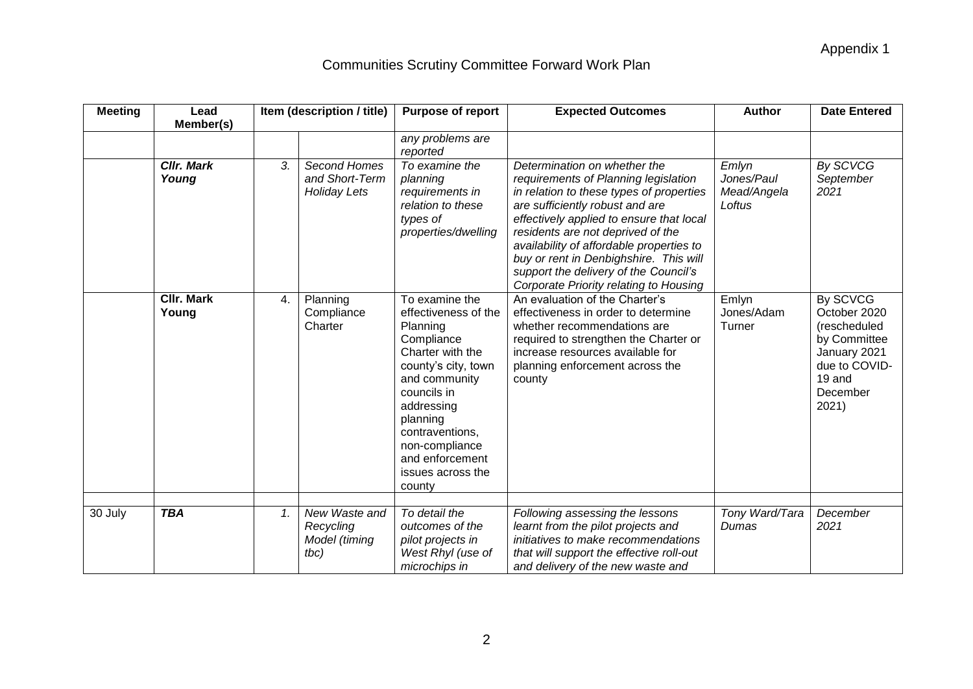| <b>Meeting</b> | Lead                       |    | Item (description / title)                            | <b>Purpose of report</b>                                                                                                                                                                                                                                     | <b>Expected Outcomes</b>                                                                                                                                                                                                                                                                                                                                                                                      | <b>Author</b>                                | <b>Date Entered</b>                                                                                                      |
|----------------|----------------------------|----|-------------------------------------------------------|--------------------------------------------------------------------------------------------------------------------------------------------------------------------------------------------------------------------------------------------------------------|---------------------------------------------------------------------------------------------------------------------------------------------------------------------------------------------------------------------------------------------------------------------------------------------------------------------------------------------------------------------------------------------------------------|----------------------------------------------|--------------------------------------------------------------------------------------------------------------------------|
|                | Member(s)                  |    |                                                       | any problems are<br>reported                                                                                                                                                                                                                                 |                                                                                                                                                                                                                                                                                                                                                                                                               |                                              |                                                                                                                          |
|                | Cllr. Mark<br>Young        | 3. | Second Homes<br>and Short-Term<br><b>Holiday Lets</b> | To examine the<br>planning<br>requirements in<br>relation to these<br>types of<br>properties/dwelling                                                                                                                                                        | Determination on whether the<br>requirements of Planning legislation<br>in relation to these types of properties<br>are sufficiently robust and are<br>effectively applied to ensure that local<br>residents are not deprived of the<br>availability of affordable properties to<br>buy or rent in Denbighshire. This will<br>support the delivery of the Council's<br>Corporate Priority relating to Housing | Emlyn<br>Jones/Paul<br>Mead/Angela<br>Loftus | <b>By SCVCG</b><br>September<br>2021                                                                                     |
|                | <b>CIIr. Mark</b><br>Young | 4. | Planning<br>Compliance<br>Charter                     | To examine the<br>effectiveness of the<br>Planning<br>Compliance<br>Charter with the<br>county's city, town<br>and community<br>councils in<br>addressing<br>planning<br>contraventions,<br>non-compliance<br>and enforcement<br>issues across the<br>county | An evaluation of the Charter's<br>effectiveness in order to determine<br>whether recommendations are<br>required to strengthen the Charter or<br>increase resources available for<br>planning enforcement across the<br>county                                                                                                                                                                                | Emlyn<br>Jones/Adam<br>Turner                | By SCVCG<br>October 2020<br>(rescheduled<br>by Committee<br>January 2021<br>due to COVID-<br>19 and<br>December<br>2021) |
| 30 July        | <b>TBA</b>                 | 1. | New Waste and<br>Recycling<br>Model (timing<br>tbc)   | To detail the<br>outcomes of the<br>pilot projects in<br>West Rhyl (use of<br>microchips in                                                                                                                                                                  | Following assessing the lessons<br>learnt from the pilot projects and<br>initiatives to make recommendations<br>that will support the effective roll-out<br>and delivery of the new waste and                                                                                                                                                                                                                 | Tony Ward/Tara<br>Dumas                      | December<br>2021                                                                                                         |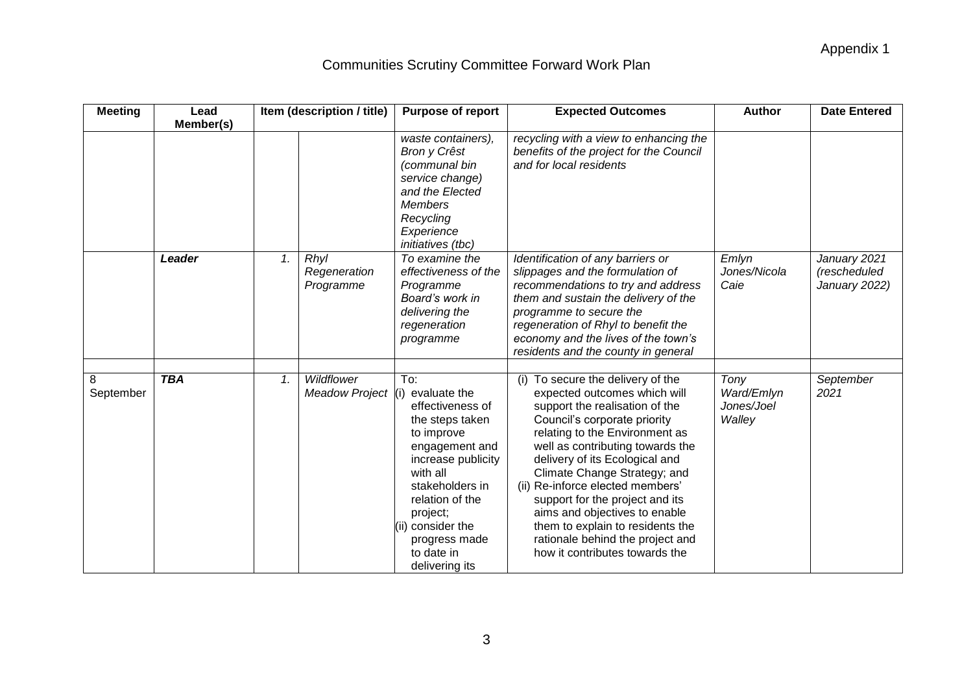| <b>Meeting</b> | Lead       | Item (description / title) |                       | <b>Purpose of report</b>                                                                                                                                                                                                                                 | <b>Expected Outcomes</b>                                                                                                                                                                                                                                                                                                                                                                                                                                                                      | <b>Author</b>                              | <b>Date Entered</b>                           |
|----------------|------------|----------------------------|-----------------------|----------------------------------------------------------------------------------------------------------------------------------------------------------------------------------------------------------------------------------------------------------|-----------------------------------------------------------------------------------------------------------------------------------------------------------------------------------------------------------------------------------------------------------------------------------------------------------------------------------------------------------------------------------------------------------------------------------------------------------------------------------------------|--------------------------------------------|-----------------------------------------------|
|                | Member(s)  |                            |                       |                                                                                                                                                                                                                                                          |                                                                                                                                                                                                                                                                                                                                                                                                                                                                                               |                                            |                                               |
|                |            |                            |                       | waste containers),<br>Bron y Crêst<br>(communal bin<br>service change)<br>and the Elected<br><b>Members</b><br>Recycling<br>Experience<br>initiatives (tbc)                                                                                              | recycling with a view to enhancing the<br>benefits of the project for the Council<br>and for local residents                                                                                                                                                                                                                                                                                                                                                                                  |                                            |                                               |
|                | Leader     | Rhyl<br>1.<br>Programme    | Regeneration          | To examine the<br>effectiveness of the<br>Programme<br>Board's work in<br>delivering the<br>regeneration<br>programme                                                                                                                                    | Identification of any barriers or<br>slippages and the formulation of<br>recommendations to try and address<br>them and sustain the delivery of the<br>programme to secure the<br>regeneration of Rhyl to benefit the<br>economy and the lives of the town's<br>residents and the county in general                                                                                                                                                                                           | Emlyn<br>Jones/Nicola<br>Caie              | January 2021<br>(rescheduled<br>January 2022) |
| 8<br>September | <b>TBA</b> | Wildflower<br>1.           | <b>Meadow Project</b> | To:<br>(i) evaluate the<br>effectiveness of<br>the steps taken<br>to improve<br>engagement and<br>increase publicity<br>with all<br>stakeholders in<br>relation of the<br>project;<br>(ii) consider the<br>progress made<br>to date in<br>delivering its | (i) To secure the delivery of the<br>expected outcomes which will<br>support the realisation of the<br>Council's corporate priority<br>relating to the Environment as<br>well as contributing towards the<br>delivery of its Ecological and<br>Climate Change Strategy; and<br>(ii) Re-inforce elected members'<br>support for the project and its<br>aims and objectives to enable<br>them to explain to residents the<br>rationale behind the project and<br>how it contributes towards the | Tony<br>Ward/Emlyn<br>Jones/Joel<br>Walley | September<br>2021                             |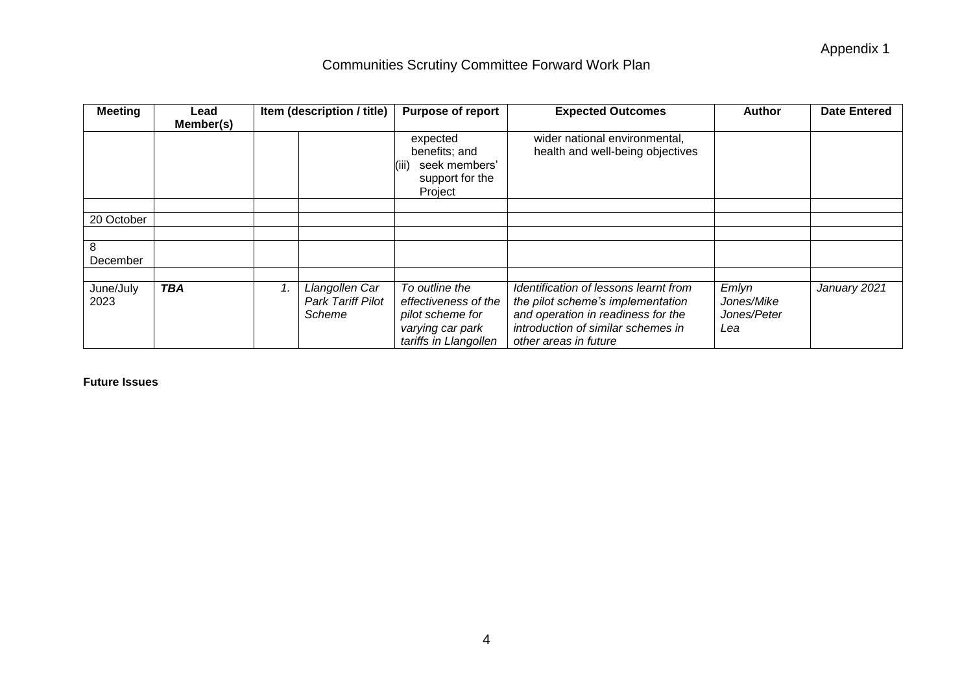| <b>Meeting</b>    | Lead       |                              | Item (description / title)                    | <b>Purpose of report</b>                                                                                | <b>Expected Outcomes</b>                                                                                                                                                        | <b>Author</b>                             | <b>Date Entered</b> |
|-------------------|------------|------------------------------|-----------------------------------------------|---------------------------------------------------------------------------------------------------------|---------------------------------------------------------------------------------------------------------------------------------------------------------------------------------|-------------------------------------------|---------------------|
|                   | Member(s)  |                              |                                               |                                                                                                         |                                                                                                                                                                                 |                                           |                     |
|                   |            |                              |                                               | expected<br>benefits; and<br>seek members'<br>(III)<br>support for the<br>Project                       | wider national environmental,<br>health and well-being objectives                                                                                                               |                                           |                     |
|                   |            |                              |                                               |                                                                                                         |                                                                                                                                                                                 |                                           |                     |
| 20 October        |            |                              |                                               |                                                                                                         |                                                                                                                                                                                 |                                           |                     |
|                   |            |                              |                                               |                                                                                                         |                                                                                                                                                                                 |                                           |                     |
| 8                 |            |                              |                                               |                                                                                                         |                                                                                                                                                                                 |                                           |                     |
| December          |            |                              |                                               |                                                                                                         |                                                                                                                                                                                 |                                           |                     |
|                   |            |                              |                                               |                                                                                                         |                                                                                                                                                                                 |                                           |                     |
| June/July<br>2023 | <b>TBA</b> | $\boldsymbol{\mathcal{1}}$ . | Llangollen Car<br>Park Tariff Pilot<br>Scheme | To outline the<br>effectiveness of the<br>pilot scheme for<br>varying car park<br>tariffs in Llangollen | Identification of lessons learnt from<br>the pilot scheme's implementation<br>and operation in readiness for the<br>introduction of similar schemes in<br>other areas in future | Emlyn<br>Jones/Mike<br>Jones/Peter<br>Lea | January 2021        |

#### **Future Issues**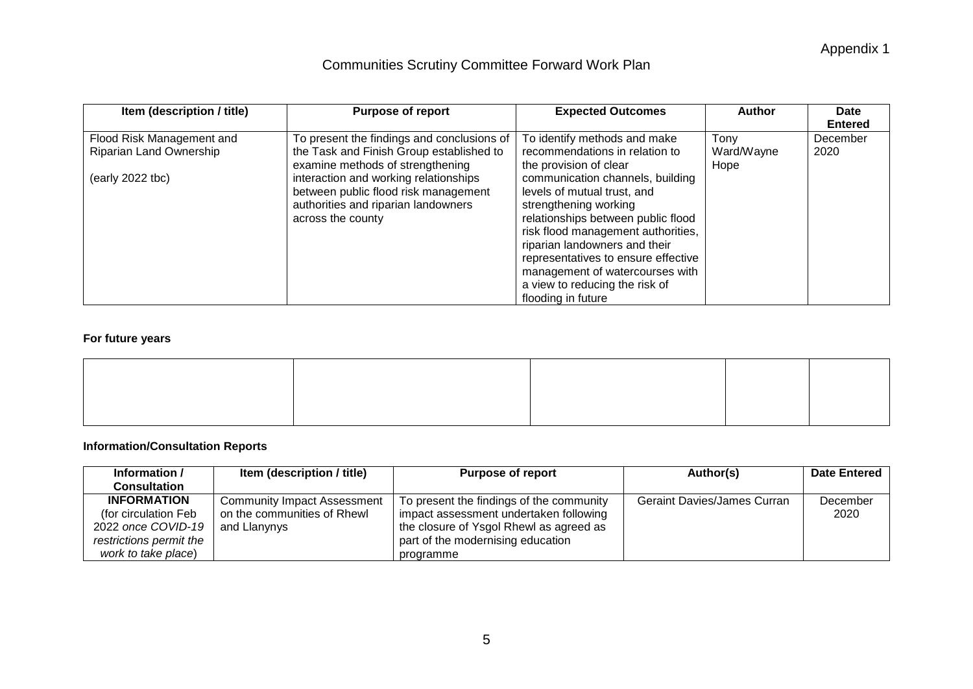Appendix 1

### Communities Scrutiny Committee Forward Work Plan

| Item (description / title) | <b>Purpose of report</b>                   | <b>Expected Outcomes</b>            | Author     | Date           |
|----------------------------|--------------------------------------------|-------------------------------------|------------|----------------|
|                            |                                            |                                     |            | <b>Entered</b> |
| Flood Risk Management and  | To present the findings and conclusions of | To identify methods and make        | Tony       | December       |
| Riparian Land Ownership    | the Task and Finish Group established to   | recommendations in relation to      | Ward/Wayne | 2020           |
|                            | examine methods of strengthening           | the provision of clear              | Hope       |                |
| (early 2022 tbc)           | interaction and working relationships      | communication channels, building    |            |                |
|                            | between public flood risk management       | levels of mutual trust, and         |            |                |
|                            | authorities and riparian landowners        | strengthening working               |            |                |
|                            | across the county                          | relationships between public flood  |            |                |
|                            |                                            | risk flood management authorities,  |            |                |
|                            |                                            | riparian landowners and their       |            |                |
|                            |                                            | representatives to ensure effective |            |                |
|                            |                                            | management of watercourses with     |            |                |
|                            |                                            | a view to reducing the risk of      |            |                |
|                            |                                            | flooding in future                  |            |                |

#### **For future years**

#### **Information/Consultation Reports**

| Information /           | Item (description / title)         | <b>Purpose of report</b>                 | Author(s)                          | <b>Date Entered</b> |
|-------------------------|------------------------------------|------------------------------------------|------------------------------------|---------------------|
| <b>Consultation</b>     |                                    |                                          |                                    |                     |
| <b>INFORMATION</b>      | <b>Community Impact Assessment</b> | To present the findings of the community | <b>Geraint Davies/James Curran</b> | December            |
| (for circulation Feb    | on the communities of Rhewl        | impact assessment undertaken following   |                                    | 2020                |
| 2022 once COVID-19      | and Llanynys                       | the closure of Ysgol Rhewl as agreed as  |                                    |                     |
| restrictions permit the |                                    | part of the modernising education        |                                    |                     |
| work to take place)     |                                    | programme                                |                                    |                     |